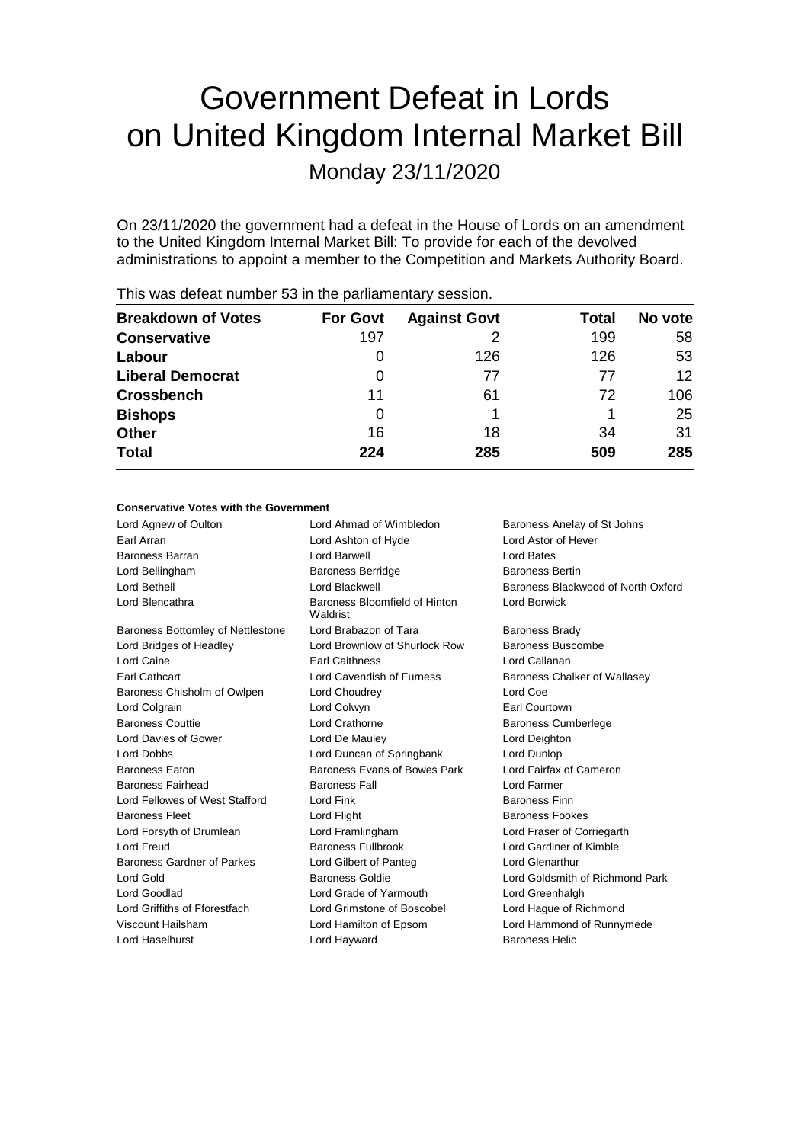# Government Defeat in Lords on United Kingdom Internal Market Bill

Monday 23/11/2020

On 23/11/2020 the government had a defeat in the House of Lords on an amendment to the United Kingdom Internal Market Bill: To provide for each of the devolved administrations to appoint a member to the Competition and Markets Authority Board.

| <b>Breakdown of Votes</b> | <b>For Govt</b> | <b>Against Govt</b> | Total | No vote |
|---------------------------|-----------------|---------------------|-------|---------|
| <b>Conservative</b>       | 197             |                     | 199   | 58      |
| Labour                    | O               | 126                 | 126   | 53      |
| <b>Liberal Democrat</b>   | 0               | 77                  | 77    | 12      |
| <b>Crossbench</b>         | 11              | 61                  | 72    | 106     |
| <b>Bishops</b>            | 0               |                     |       | 25      |
| <b>Other</b>              | 16              | 18                  | 34    | 31      |
| <b>Total</b>              | 224             | 285                 | 509   | 285     |
|                           |                 |                     |       |         |

This was defeat number 53 in the parliamentary session.

# **Conservative Votes with the Government**

| Lord Agnew of Oulton              | Lord Ahmad of Wimbledon                   | Baroness Anelay of St Johns        |
|-----------------------------------|-------------------------------------------|------------------------------------|
| Earl Arran                        | Lord Ashton of Hyde                       | Lord Astor of Hever                |
| <b>Baroness Barran</b>            | I ord Barwell                             | Lord Bates                         |
| Lord Bellingham                   | <b>Baroness Berridge</b>                  | <b>Baroness Bertin</b>             |
| Lord Bethell                      | Lord Blackwell                            | Baroness Blackwood of North Oxford |
| Lord Blencathra                   | Baroness Bloomfield of Hinton<br>Waldrist | Lord Borwick                       |
| Baroness Bottomley of Nettlestone | Lord Brabazon of Tara                     | <b>Baroness Brady</b>              |
| Lord Bridges of Headley           | Lord Brownlow of Shurlock Row             | Baroness Buscombe                  |
| Lord Caine                        | <b>Earl Caithness</b>                     | Lord Callanan                      |
| <b>Earl Cathcart</b>              | Lord Cavendish of Furness                 | Baroness Chalker of Wallasey       |
| Baroness Chisholm of Owlpen       | Lord Choudrey                             | Lord Coe                           |
| Lord Colgrain                     | Lord Colwyn                               | Earl Courtown                      |
| <b>Baroness Couttie</b>           | Lord Crathorne                            | <b>Baroness Cumberlege</b>         |
| Lord Davies of Gower              | Lord De Mauley                            | Lord Deighton                      |
| Lord Dobbs                        | Lord Duncan of Springbank                 | Lord Dunlop                        |
| <b>Baroness Eaton</b>             | Baroness Evans of Bowes Park              | Lord Fairfax of Cameron            |
| <b>Baroness Fairhead</b>          | <b>Baroness Fall</b>                      | Lord Farmer                        |
| Lord Fellowes of West Stafford    | Lord Fink                                 | <b>Baroness Finn</b>               |
| <b>Baroness Fleet</b>             | Lord Flight                               | <b>Baroness Fookes</b>             |
| Lord Forsyth of Drumlean          | Lord Framlingham                          | Lord Fraser of Corriegarth         |
| Lord Freud                        | <b>Baroness Fullbrook</b>                 | Lord Gardiner of Kimble            |
| Baroness Gardner of Parkes        | Lord Gilbert of Panteg                    | Lord Glenarthur                    |
| Lord Gold                         | <b>Baroness Goldie</b>                    | Lord Goldsmith of Richmond Park    |
| Lord Goodlad                      | Lord Grade of Yarmouth                    | Lord Greenhalgh                    |
| Lord Griffiths of Fforestfach     | Lord Grimstone of Boscobel                | Lord Hague of Richmond             |
| Viscount Hailsham                 | Lord Hamilton of Epsom                    | Lord Hammond of Runnymede          |
| Lord Haselhurst                   | Lord Hayward                              | <b>Baroness Helic</b>              |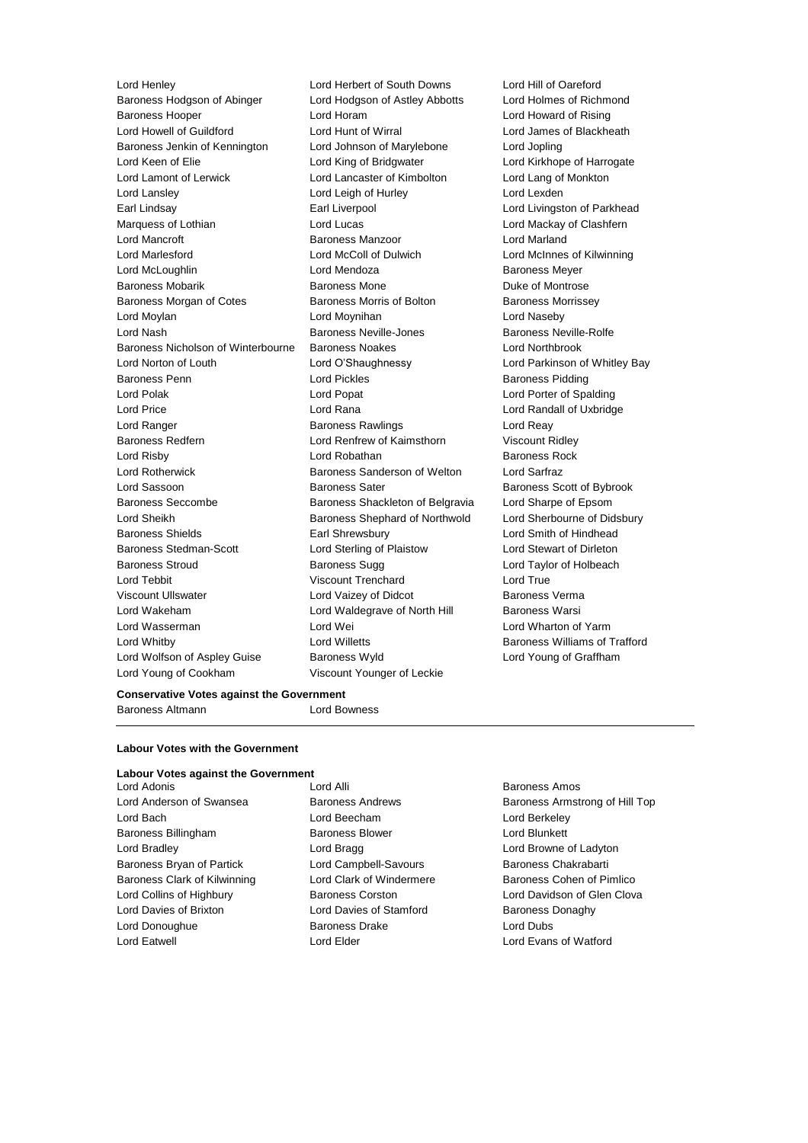Lord Henley Lord Herbert of South Downs Lord Hill of Oareford Baroness Hodgson of Abinger Lord Hodgson of Astley Abbotts Lord Holmes of Richmond Baroness Hooper Lord Horam Lord Howard of Rising Lord Howell of Guildford Lord Hunt of Wirral Lord James of Blackheath Baroness Jenkin of Kennington Lord Johnson of Marylebone Lord Jopling Lord Keen of Elie **Lord King of Bridgwater** Lord Kirkhope of Harrogate Lord Lamont of Lerwick Lord Lancaster of Kimbolton Lord Lang of Monkton Lord Lansley Lord Leigh of Hurley Lord Lexden Earl Lindsay **Earl Liverpool** Earl Liverpool **Lord Livingston of Parkhead** Marquess of Lothian **Lord Lucas** Lord Lucas **Lord Mackay of Clashfern** Lord Mancroft **Baroness Manzoor Baroness Manzoor** Lord Marland Lord Marlesford Lord McColl of Dulwich Lord McInnes of Kilwinning Lord McLoughlin Lord Mendoza Baroness Meyer Baroness Mobarik **Baroness Mone** Baroness Mone Duke of Montrose Baroness Morgan of Cotes **Baroness Morris of Bolton** Baroness Morrissey Lord Moylan Lord Moynihan Lord Naseby Lord Nash Baroness Neville-Jones Baroness Neville-Rolfe Baroness Nicholson of Winterbourne Baroness Noakes Lord Northbrook Lord Norton of Louth Lord O'Shaughnessy Lord Parkinson of Whitley Bay Baroness Penn **Example 20** Lord Pickles **Baroness Pidding** Lord Polak Lord Popat Lord Porter of Spalding Lord Price Lord Rana Lord Randall of Uxbridge Lord Ranger **Baroness Rawlings** Lord Reay Rawlings Lord Reay Baroness Redfern Lord Renfrew of Kaimsthorn Viscount Ridley Lord Risby **Lord Robathan** Baroness Rock Lord Rotherwick Baroness Sanderson of Welton Lord Sarfraz Lord Sassoon **Baroness Sater** Baroness Scott of Bybrook Baroness Seccombe Baroness Shackleton of Belgravia Lord Sharpe of Epsom Lord Sheikh **Baroness Shephard of Northwold** Lord Sherbourne of Didsbury Baroness Shields **Earl Shrewsbury** Earl Shrewsbury **Lord Smith of Hindhead** Baroness Stedman-Scott Lord Sterling of Plaistow Lord Stewart of Dirleton Baroness Stroud **Baroness Sugg Lord Taylor of Holbeach** Baroness Sugg Lord Taylor of Holbeach Lord Tebbit Viscount Trenchard Lord True Viscount Ullswater Lord Vaizey of Didcot Baroness Verma Lord Wakeham **Lord Waldegrave of North Hill** Baroness Warsi Lord Wasserman Lord Wei Lord Wharton of Yarm Lord Whitby Lord Willetts Baroness Williams of Trafford Lord Wolfson of Aspley Guise **Baroness Wyld Lord Young of Graffham** Lord Young of Cookham Viscount Younger of Leckie

# **Conservative Votes against the Government**

Baroness Altmann **Lord Bowness** 

#### **Labour Votes with the Government**

# **Labour Votes against the Government**<br>Lord Adonis

- Lord Bach Lord Beecham Lord Berkeley Baroness Billingham Baroness Blower Lord Blunkett Lord Bradley **Lord Bragg Lord Bragg Lord Browne of Ladyton** Baroness Bryan of Partick Lord Campbell-Savours Baroness Chakrabarti Baroness Clark of Kilwinning **Lord Clark of Windermere** Baroness Cohen of Pimlico Lord Collins of Highbury **Baroness Corston** Corston Lord Davidson of Glen Clova Lord Davies of Brixton **Lord Davies of Stamford** Baroness Donaghy Lord Donoughue Baroness Drake Lord Dubs Lord Eatwell Lord Elder Lord Evans of Watford
- Lord Adonis Lord Alli Baroness Amos
- Lord Anderson of Swansea **Baroness Andrews** Baroness Andrews Baroness Armstrong of Hill Top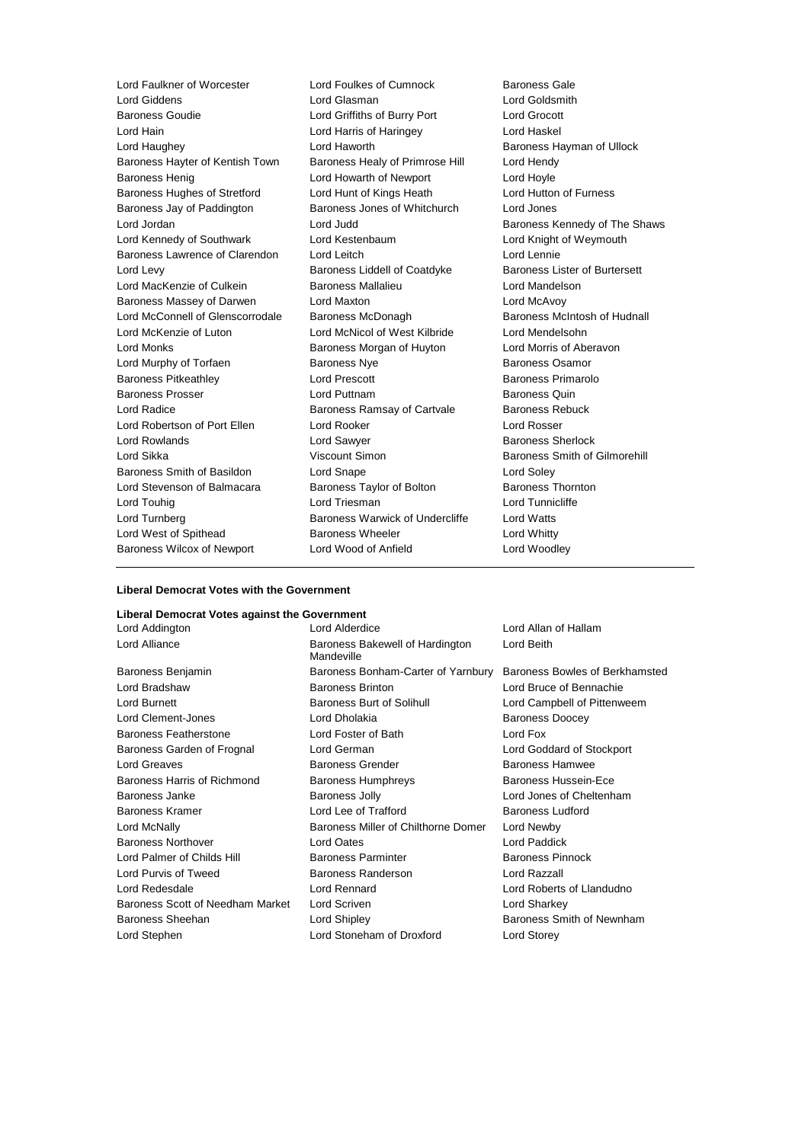Lord Giddens Lord Glasman Lord Goldsmith Baroness Goudie Lord Griffiths of Burry Port Lord Grocott Lord Hain Lord Harris of Haringey Lord Haskel Lord Haughey Lord Haworth Baroness Hayman of Ullock Baroness Hayter of Kentish Town Baroness Healy of Primrose Hill Lord Hendy Baroness Henig **Example 20** Lord Howarth of Newport **Lord Hoyle** Baroness Hughes of Stretford Lord Hunt of Kings Heath Lord Hutton of Furness Baroness Jay of Paddington Baroness Jones of Whitchurch Lord Jones Lord Jordan **Lord Judd** Baroness Kennedy of The Shaws Lord Kennedy of Southwark Lord Kestenbaum Lord Knight of Weymouth Baroness Lawrence of Clarendon Lord Leitch Lord Lennie Lord Levy **Baroness Liddell of Coatdyke** Baroness Lister of Burtersett Lord MacKenzie of Culkein **Baroness Mallalieu** Lord Mandelson Baroness Massey of Darwen Lord Maxton Lord McAvoy Lord McConnell of Glenscorrodale Baroness McDonagh Baroness McIntosh of Hudnall Lord McKenzie of Luton Lord McNicol of West Kilbride Lord Mendelsohn Lord Monks **Baroness Morgan of Huyton** Lord Morris of Aberavon Lord Murphy of Torfaen **Baroness Nye** Baroness Osamor Baroness Pitkeathley Lord Prescott Baroness Primarolo Baroness Prosser Lord Puttnam Baroness Quin Lord Radice **Baroness Ramsay of Cartvale** Baroness Rebuck Lord Robertson of Port Ellen Lord Rooker Lord Rosser Lord Rowlands **Lord Sawyer Lord Sawyer Baroness Sherlock** Lord Sikka Viscount Simon Baroness Smith of Gilmorehill Baroness Smith of Basildon Lord Snape Lord Soley Lord Stevenson of Balmacara Baroness Taylor of Bolton Baroness Thornton Lord Touhig **Lord Triesman** Lord Triesman **Lord Tunnicliffe** Lord Turnberg Baroness Warwick of Undercliffe Lord Watts Lord West of Spithead Baroness Wheeler Lord Whitty Baroness Wilcox of Newport Lord Wood of Anfield Lord Woodley

Lord Faulkner of Worcester Lord Foulkes of Cumnock Baroness Gale

## **Liberal Democrat Votes with the Government**

# **Liberal Democrat Votes against the Government**

Lord Alliance **Baroness Bakewell of Hardington** Mandeville Baroness Benjamin Baroness Bonham-Carter of Yarnbury Baroness Bowles of Berkhamsted Lord Bradshaw Baroness Brinton Lord Bruce of Bennachie Lord Burnett **Baroness Burt of Solihull** Lord Campbell of Pittenweem Lord Clement-Jones **Lord Dholakia Baroness Doocey** Baroness Featherstone Lord Foster of Bath Lord Fox Baroness Garden of Frognal Lord German Lord Goddard of Stockport Lord Greaves Baroness Grender Baroness Hamwee Baroness Harris of Richmond Baroness Humphreys Baroness Hussein-Ece Baroness Janke **Baroness Jolly Baroness Jolly Lord Jones of Cheltenham** Baroness Kramer **Edge Corner Lord Lee of Trafford** Baroness Ludford **Baroness** Ludford Lord McNally Baroness Miller of Chilthorne Domer Lord Newby Baroness Northover Lord Oates Lord Paddick Lord Palmer of Childs Hill **Baroness Parminter** Baroness Pinnock Lord Purvis of Tweed Baroness Randerson Lord Razzall Lord Redesdale Lord Rennard Lord Roberts of Llandudno Baroness Scott of Needham Market Lord Scriven Lord Controllery Lord Sharkey Baroness Sheehan Lord Shipley Baroness Smith of Newnham Lord Stephen Lord Stoneham of Droxford Lord Storey

Lord Addington Lord Alderdice Lord Allan of Hallam Lord Beith